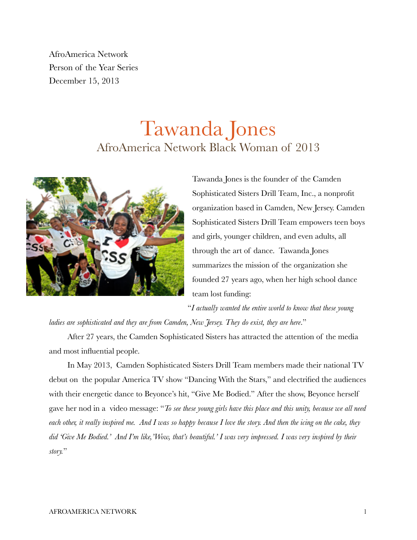AfroAmerica Network Person of the Year Series December 15, 2013

## Tawanda Jones AfroAmerica Network Black Woman of 2013



Tawanda Jones is the founder of the Camden Sophisticated Sisters Drill Team, Inc., a nonprofit organization based in Camden, New Jersey. Camden Sophisticated Sisters Drill Team empowers teen boys and girls, younger children, and even adults, all through the art of dance. Tawanda Jones summarizes the mission of the organization she founded 27 years ago, when her high school dance team lost funding:

"*I actually wanted the entire world to know that these young ladies are sophisticated and they are from Camden, New Jersey. They do exist, they are here*."

After 27 years, the Camden Sophisticated Sisters has attracted the attention of the media

and most influential people.

In May 2013, Camden Sophisticated Sisters Drill Team members made their national TV debut on the popular America TV show "Dancing With the Stars," and electrified the audiences with their energetic dance to Beyonce's hit, "Give Me Bodied." After the show, Beyonce herself gave her nod in a video message: "*To see these young girls have this place and this unity, because we all need each other, it really inspired me. And I was so happy because I love the story. And then the icing on the cake, they did 'Give Me Bodied.' And I'm like,'Wow, that's beautiful.' I was very impressed. I was very inspired by their story.*"